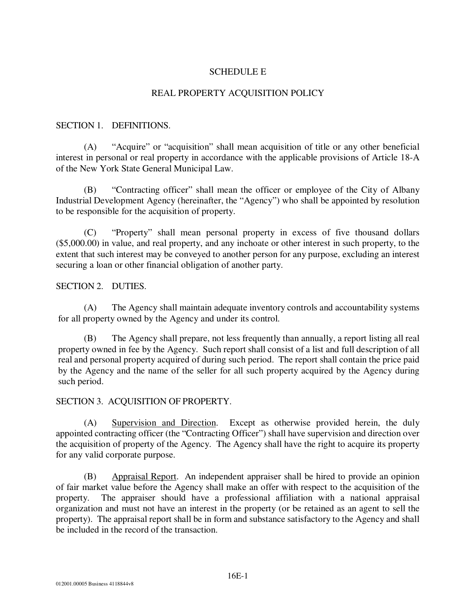# SCHEDULE E

#### REAL PROPERTY ACQUISITION POLICY

#### SECTION 1. DEFINITIONS.

 (A) "Acquire" or "acquisition" shall mean acquisition of title or any other beneficial interest in personal or real property in accordance with the applicable provisions of Article 18-A of the New York State General Municipal Law.

 (B) "Contracting officer" shall mean the officer or employee of the City of Albany Industrial Development Agency (hereinafter, the "Agency") who shall be appointed by resolution to be responsible for the acquisition of property.

 (C) "Property" shall mean personal property in excess of five thousand dollars (\$5,000.00) in value, and real property, and any inchoate or other interest in such property, to the extent that such interest may be conveyed to another person for any purpose, excluding an interest securing a loan or other financial obligation of another party.

## SECTION 2. DUTIES.

 (A) The Agency shall maintain adequate inventory controls and accountability systems for all property owned by the Agency and under its control.

 (B) The Agency shall prepare, not less frequently than annually, a report listing all real property owned in fee by the Agency. Such report shall consist of a list and full description of all real and personal property acquired of during such period. The report shall contain the price paid by the Agency and the name of the seller for all such property acquired by the Agency during such period.

## SECTION 3. ACQUISITION OF PROPERTY.

 (A) Supervision and Direction. Except as otherwise provided herein, the duly appointed contracting officer (the "Contracting Officer") shall have supervision and direction over the acquisition of property of the Agency. The Agency shall have the right to acquire its property for any valid corporate purpose.

 (B) Appraisal Report. An independent appraiser shall be hired to provide an opinion of fair market value before the Agency shall make an offer with respect to the acquisition of the property. The appraiser should have a professional affiliation with a national appraisal organization and must not have an interest in the property (or be retained as an agent to sell the property). The appraisal report shall be in form and substance satisfactory to the Agency and shall be included in the record of the transaction.